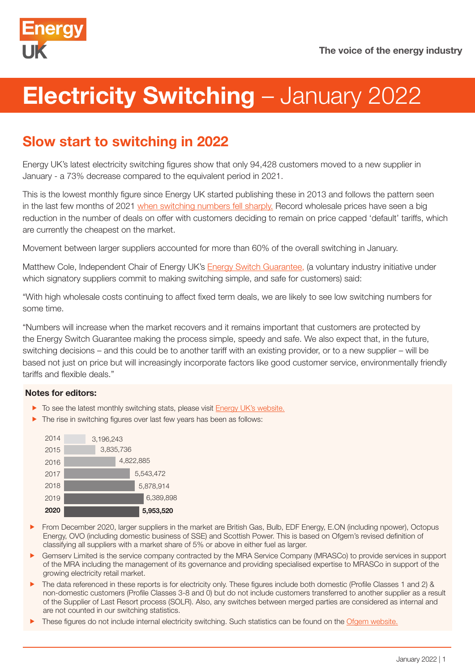

# **Electricity Switching – January 2022**

# Slow start to switching in 2022

Energy UK's latest electricity switching figures show that only 94,428 customers moved to a new supplier in January - a 73% decrease compared to the equivalent period in 2021.

This is the lowest monthly figure since Energy UK started publishing these in 2013 and follows the pattern seen in the last few months of 2021 [when switching numbers fell sharply.](https://www.energy-uk.org.uk/media-and-campaigns/press-releases/526-2022/8066-switching-remains-down-at-year-end.html) Record wholesale prices have seen a big reduction in the number of deals on offer with customers deciding to remain on price capped 'default' tariffs, which are currently the cheapest on the market.

Movement between larger suppliers accounted for more than 60% of the overall switching in January.

Matthew Cole, Independent Chair of Energy UK's [Energy Switch Guarantee,](https://www.energy-uk.org.uk/our-work/energy-switch-guarantee.html) (a voluntary industry initiative under which signatory suppliers commit to making switching simple, and safe for customers) said:

"With high wholesale costs continuing to affect fixed term deals, we are likely to see low switching numbers for some time.

"Numbers will increase when the market recovers and it remains important that customers are protected by the Energy Switch Guarantee making the process simple, speedy and safe. We also expect that, in the future, switching decisions – and this could be to another tariff with an existing provider, or to a new supplier – will be based not just on price but will increasingly incorporate factors like good customer service, environmentally friendly tariffs and flexible deals."

## Notes for editors:

- $\blacktriangleright$  To see the latest monthly switching stats, please visit [Energy UK's website](https://www.energy-uk.org.uk/publication/293-research-and-reports/switchingreports.html).
- $\blacktriangleright$  The rise in switching figures over last few years has been as follows:



- From December 2020, larger suppliers in the market are British Gas, Bulb, EDF Energy, E.ON (including npower), Octopus Energy, OVO (including domestic business of SSE) and Scottish Power. This is based on Ofgem's revised definition of classifying all suppliers with a market share of 5% or above in either fuel as larger.
- f Gemserv Limited is the service company contracted by the MRA Service Company (MRASCo) to provide services in support of the MRA including the management of its governance and providing specialised expertise to MRASCo in support of the growing electricity retail market.
- f The data referenced in these reports is for electricity only. These figures include both domestic (Profile Classes 1 and 2) & non-domestic customers (Profile Classes 3-8 and 0) but do not include customers transferred to another supplier as a result of the Supplier of Last Resort process (SOLR). Also, any switches between merged parties are considered as internal and are not counted in our switching statistics.
- These figures do not include internal electricity switching. Such statistics can be found on the [Ofgem website.](https://www.ofgem.gov.uk/data-portal/retail-market-indicators)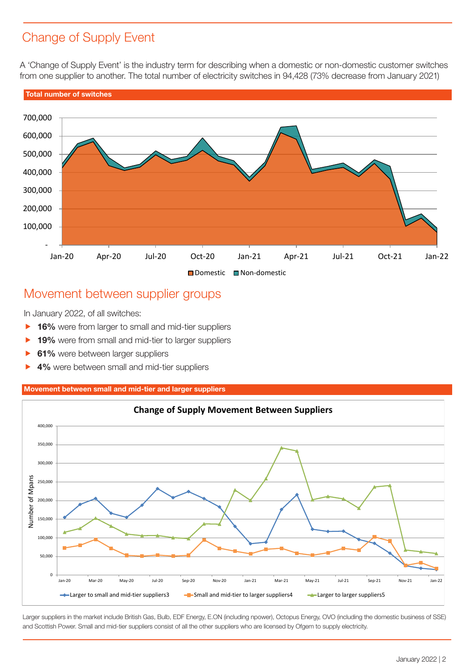## Change of Supply Event

A 'Change of Supply Event' is the industry term for describing when a domestic or non-domestic customer switches from one supplier to another. The total number of electricity switches in 94,428 (73% decrease from January 2021)



## Movement between supplier groups

In January 2022, of all switches:

- **16%** were from larger to small and mid-tier suppliers
- **19%** were from small and mid-tier to larger suppliers
- **61%** were between larger suppliers
- ▶ 4% were between small and mid-tier suppliers

### Movement between small and mid-tier and larger suppliers



Larger suppliers in the market include British Gas, Bulb, EDF Energy, E.ON (including npower), Octopus Energy, OVO (including the domestic business of SSE) and Scottish Power. Small and mid-tier suppliers consist of all the other suppliers who are licensed by Ofgem to supply electricity.